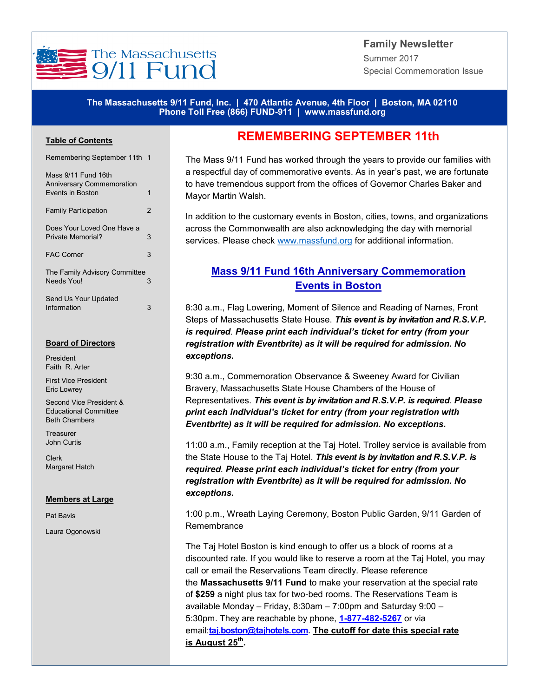

## **Family Newsletter** Summer 2017 Special Commemoration Issue

### **The Massachusetts 9/11 Fund, Inc. | 470 Atlantic Avenue, 4th Floor | Boston, MA 02110 Phone Toll Free (866) FUND-911 | www.massfund.org**

### **Table of Contents**

| Remembering September 11th 1                                                       |   |
|------------------------------------------------------------------------------------|---|
| Mass 9/11 Fund 16th<br><b>Anniversary Commemoration</b><br><b>Fvents in Boston</b> | 1 |
| <b>Family Participation</b>                                                        | 2 |
| Does Your Loved One Have a<br>Private Memorial?                                    | 3 |
| <b>FAC Corner</b>                                                                  | 3 |
| The Family Advisory Committee<br>Needs Youl                                        | 3 |
| Send Us Your Updated<br>Information                                                | 3 |

#### **Board of Directors**

President Faith R. Arter

First Vice President Eric Lowrey

Second Vice President & Educational Committee Beth Chambers

**Treasurer** John Curtis

Clerk Margaret Hatch

#### **Members at Large**

Pat Bavis

Laura Ogonowski

## **REMEMBERING SEPTEMBER 11th**

The Mass 9/11 Fund has worked through the years to provide our families with a respectful day of commemorative events. As in year's past, we are fortunate to have tremendous support from the offices of Governor Charles Baker and Mayor Martin Walsh.

In addition to the customary events in Boston, cities, towns, and organizations across the Commonwealth are also acknowledging the day with memorial services. Please check www.massfund.org for additional information.

## **Mass 9/11 Fund 16th Anniversary Commemoration Events in Boston**

8:30 a.m., Flag Lowering, Moment of Silence and Reading of Names, Front Steps of Massachusetts State House. *This event is by invitation and R.S.V.P. is required. Please print each individual's ticket for entry (from your registration with Eventbrite) as it will be required for admission. No exceptions.*

9:30 a.m., Commemoration Observance & Sweeney Award for Civilian Bravery, Massachusetts State House Chambers of the House of Representatives. *This event is by invitation and R.S.V.P. is required. Please print each individual's ticket for entry (from your registration with Eventbrite) as it will be required for admission. No exceptions.*

11:00 a.m., Family reception at the Taj Hotel. Trolley service is available from the State House to the Taj Hotel. *This event is by invitation and R.S.V.P. is required. Please print each individual's ticket for entry (from your registration with Eventbrite) as it will be required for admission. No exceptions.*

1:00 p.m., Wreath Laying Ceremony, Boston Public Garden, 9/11 Garden of Remembrance

The Taj Hotel Boston is kind enough to offer us a block of rooms at a discounted rate. If you would like to reserve a room at the Taj Hotel, you may call or email the Reservations Team directly. Please reference the **Massachusetts 9/11 Fund** to make your reservation at the special rate of **\$259** a night plus tax for two-bed rooms. The Reservations Team is available Monday – Friday, 8:30am – 7:00pm and Saturday 9:00 – 5:30pm. They are reachable by phone, **1-877-482-[5267](tel:1-877-482-5267)** or via email:**[taj.boston@tajhotels.com.](mailto:taj.boston@tajhotels.com?subject=Massachusetts%209/11%20Fund%20Reservation) The cutoff for date this special rate is August 25th .**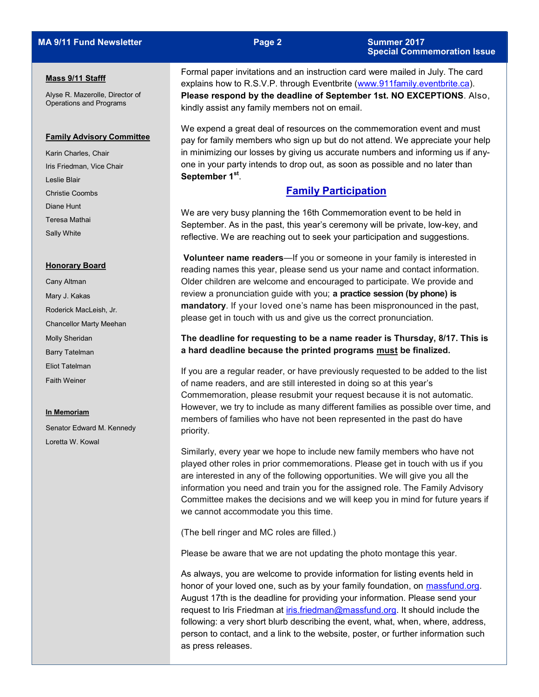#### **Mass 9/11 Stafff**

Alyse R. Mazerolle, Director of Operations and Programs

#### **Family Advisory Committee**

Karin Charles, Chair Iris Friedman, Vice Chair Leslie Blair Christie Coombs Diane Hunt Teresa Mathai Sally White

#### **Honorary Board**

Cany Altman Mary J. Kakas Roderick MacLeish, Jr. Chancellor Marty Meehan Molly Sheridan Barry Tatelman Eliot Tatelman Faith Weiner

#### **In Memoriam**

Senator Edward M. Kennedy Loretta W. Kowal

Formal paper invitations and an instruction card were mailed in July. The card explains how to R.S.V.P. through Eventbrite ([www.911family.eventbrite.ca\).](http://www.911family.eventbrite.ca) **Please respond by the deadline of September 1st. NO EXCEPTIONS**. Also, kindly assist any family members not on email.

We expend a great deal of resources on the commemoration event and must pay for family members who sign up but do not attend. We appreciate your help in minimizing our losses by giving us accurate numbers and informing us if anyone in your party intends to drop out, as soon as possible and no later than **September 1st** .

## **Family Participation**

We are very busy planning the 16th Commemoration event to be held in September. As in the past, this year's ceremony will be private, low-key, and reflective. We are reaching out to seek your participation and suggestions.

**Volunteer name readers**—If you or someone in your family is interested in reading names this year, please send us your name and contact information. Older children are welcome and encouraged to participate. We provide and review a pronunciation guide with you; **a practice session (by phone) is mandatory**. If your loved one's name has been mispronounced in the past, please get in touch with us and give us the correct pronunciation.

### **The deadline for requesting to be a name reader is Thursday, 8/17. This is a hard deadline because the printed programs must be finalized.**

If you are a regular reader, or have previously requested to be added to the list of name readers, and are still interested in doing so at this year's Commemoration, please resubmit your request because it is not automatic. However, we try to include as many different families as possible over time, and members of families who have not been represented in the past do have priority.

Similarly, every year we hope to include new family members who have not played other roles in prior commemorations. Please get in touch with us if you are interested in any of the following opportunities. We will give you all the information you need and train you for the assigned role. The Family Advisory Committee makes the decisions and we will keep you in mind for future years if we cannot accommodate you this time.

(The bell ringer and MC roles are filled.)

Please be aware that we are not updating the photo montage this year.

As always, you are welcome to provide information for listing events held in honor of your loved one, such as by your family foundation, on massfund.org. August 17th is the deadline for providing your information. Please send your request to Iris Friedman at [iris.friedman@massfund.org.](mailto:iris.friedman@massfund.org?subject=Family%20Foundation%20Information) It should include the following: a very short blurb describing the event, what, when, where, address, person to contact, and a link to the website, poster, or further information such as press releases.